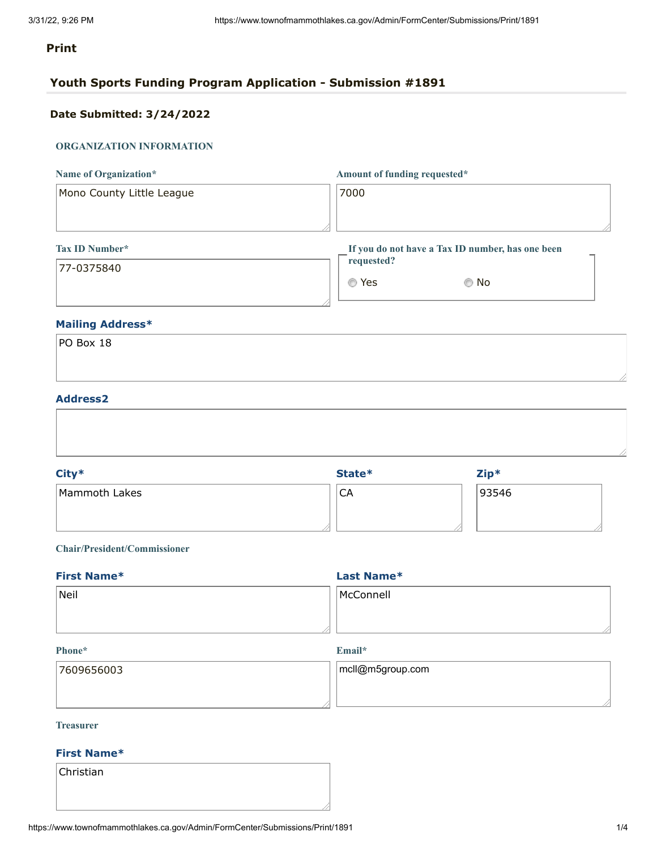### **Print**

### **Youth Sports Funding Program Application - Submission #1891**

### **Date Submitted: 3/24/2022**

### **ORGANIZATION INFORMATION**

| Name of Organization*     | Amount of funding requested*                     |  |
|---------------------------|--------------------------------------------------|--|
| Mono County Little League | 7000                                             |  |
|                           |                                                  |  |
| <b>Tax ID Number*</b>     | If you do not have a Tax ID number, has one been |  |
| 177-0375840               | requested?                                       |  |

| requested? | If you do not have a Tax ID number, has one been |
|------------|--------------------------------------------------|
| ◎ Yes      | © No                                             |

### **Mailing Address\***

| PO Box 18 |  |  |
|-----------|--|--|
|           |  |  |
|           |  |  |

### **Address2**

| 93546<br><b>CA</b> | City*         | State* | $Zip*$ |  |
|--------------------|---------------|--------|--------|--|
|                    | Mammoth Lakes |        |        |  |
|                    |               |        |        |  |

### **Chair/President/Commissioner**

| <b>First Name*</b> | Last Name* |  |
|--------------------|------------|--|
| Neil               | McConnell  |  |
|                    |            |  |

### **Phone\***

### **Email\***

| 17609656003 | $ mcl @m5$ group.com |
|-------------|----------------------|
|             |                      |

### **Treasurer**

### **First Name\***

Christian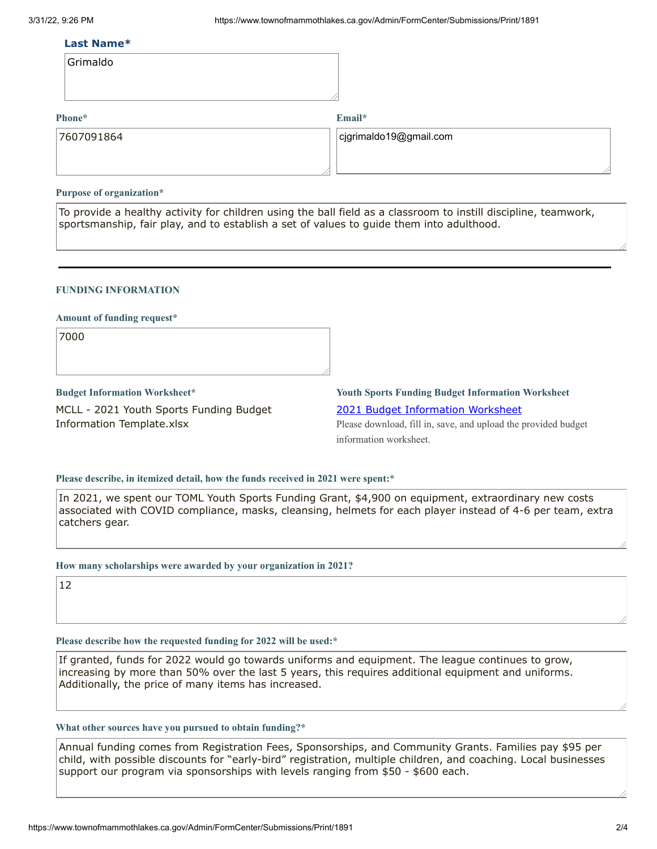### **Last Name\***

| Grimaldo |  |
|----------|--|
|----------|--|

### **Phone\***

**Email\***

| 17607091864 | $ $ cjgrimaldo19@gmail.com |
|-------------|----------------------------|
|             |                            |

### **Purpose of organization\***

To provide a healthy activity for children using the ball field as a classroom to instill discipline, teamwork, sportsmanship, fair play, and to establish a set of values to guide them into adulthood.

### **FUNDING INFORMATION**

### **Amount of funding request\***

7000

**Budget Information Worksheet\*** MCLL - 2021 Youth Sports Funding Budget Information Template.xlsx

## **Youth Sports Funding Budget Information Worksheet** 2021 Budget [Information](https://www.townofmammothlakes.ca.gov/DocumentCenter/View/11932/2021-Youth-Sports-Funding-Budget-Information-Template) Worksheet

Please download, fill in, save, and upload the provided budget information worksheet.

### **Please describe, in itemized detail, how the funds received in 2021 were spent:\***

In 2021, we spent our TOML Youth Sports Funding Grant, \$4,900 on equipment, extraordinary new costs associated with COVID compliance, masks, cleansing, helmets for each player instead of 4-6 per team, extra catchers gear.

### **How many scholarships were awarded by your organization in 2021?**

12

### **Please describe how the requested funding for 2022 will be used:\***

If granted, funds for 2022 would go towards uniforms and equipment. The league continues to grow, increasing by more than 50% over the last 5 years, this requires additional equipment and uniforms. Additionally, the price of many items has increased.

### **What other sources have you pursued to obtain funding?\***

Annual funding comes from Registration Fees, Sponsorships, and Community Grants. Families pay \$95 per child, with possible discounts for "early-bird" registration, multiple children, and coaching. Local businesses support our program via sponsorships with levels ranging from \$50 - \$600 each.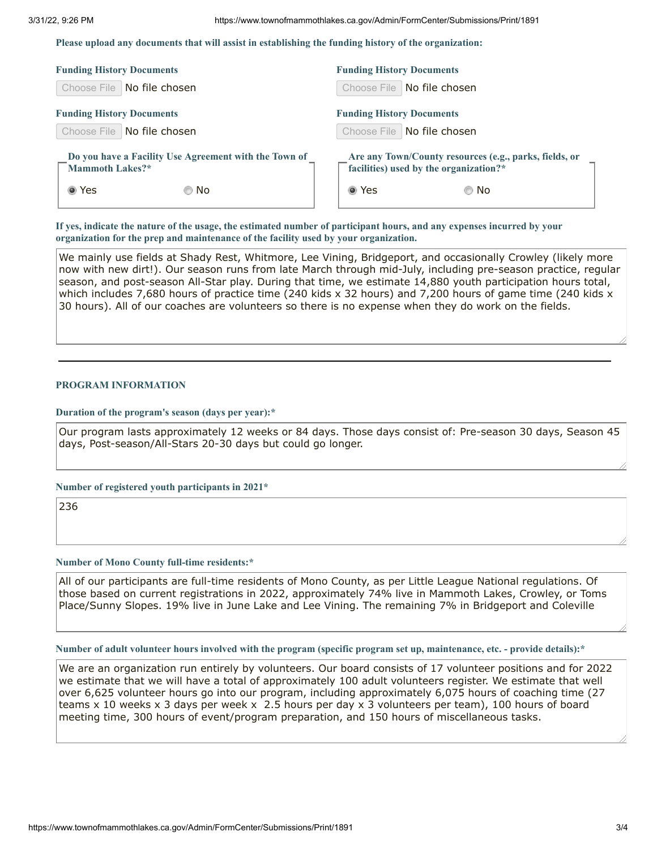**Please upload any documents that will assist in establishing the funding history of the organization:**

| <b>Funding History Documents</b>                      | <b>Funding History Documents</b>                       |
|-------------------------------------------------------|--------------------------------------------------------|
| Choose File   No file chosen                          | Choose File   No file chosen                           |
| <b>Funding History Documents</b>                      | <b>Funding History Documents</b>                       |
| Choose File   No file chosen                          | Choose File   No file chosen                           |
| Do you have a Facility Use Agreement with the Town of | Are any Town/County resources (e.g., parks, fields, or |
| <b>Mammoth Lakes?*</b>                                | facilities) used by the organization?*                 |
| ◉ Yes                                                 | ◉ Yes                                                  |
| © No                                                  | © No                                                   |

If yes, indicate the nature of the usage, the estimated number of participant hours, and any expenses incurred by your **organization for the prep and maintenance of the facility used by your organization.**

We mainly use fields at Shady Rest, Whitmore, Lee Vining, Bridgeport, and occasionally Crowley (likely more now with new dirt!). Our season runs from late March through mid-July, including pre-season practice, regular season, and post-season All-Star play. During that time, we estimate 14,880 youth participation hours total, which includes 7,680 hours of practice time (240 kids x 32 hours) and 7,200 hours of game time (240 kids x 30 hours). All of our coaches are volunteers so there is no expense when they do work on the fields.

### **PROGRAM INFORMATION**

### **Duration of the program's season (days per year):\***

Our program lasts approximately 12 weeks or 84 days. Those days consist of: Pre-season 30 days, Season 45 days, Post-season/All-Stars 20-30 days but could go longer.

### **Number of registered youth participants in 2021\***

236

### **Number of Mono County full-time residents:\***

All of our participants are full-time residents of Mono County, as per Little League National regulations. Of those based on current registrations in 2022, approximately 74% live in Mammoth Lakes, Crowley, or Toms Place/Sunny Slopes. 19% live in June Lake and Lee Vining. The remaining 7% in Bridgeport and Coleville

Number of adult volunteer hours involved with the program (specific program set up, maintenance, etc. - provide details):\*

We are an organization run entirely by volunteers. Our board consists of 17 volunteer positions and for 2022 we estimate that we will have a total of approximately 100 adult volunteers register. We estimate that well over 6,625 volunteer hours go into our program, including approximately 6,075 hours of coaching time (27 teams x 10 weeks x 3 days per week x 2.5 hours per day x 3 volunteers per team), 100 hours of board meeting time, 300 hours of event/program preparation, and 150 hours of miscellaneous tasks.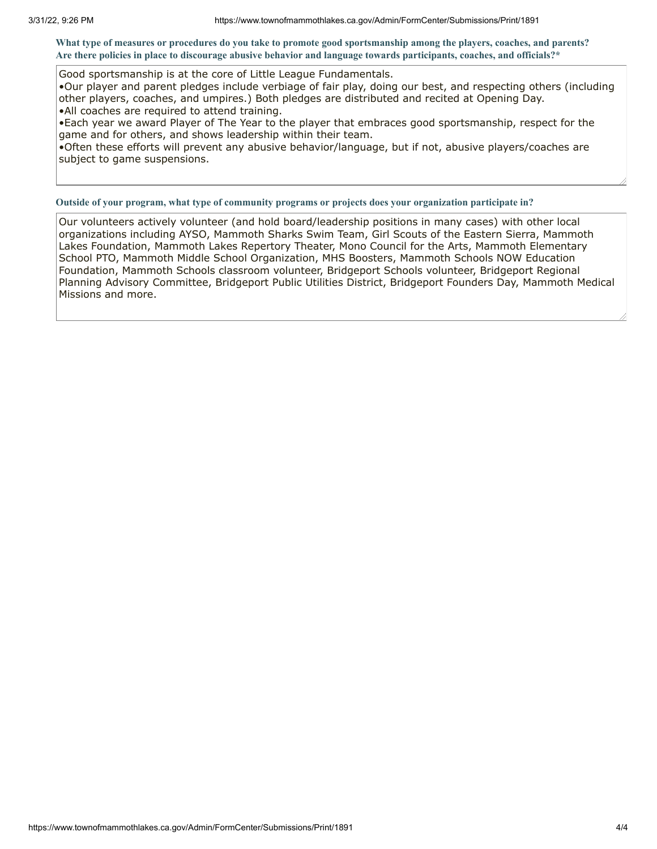What type of measures or procedures do you take to promote good sportsmanship among the players, coaches, and parents? Are there policies in place to discourage abusive behavior and language towards participants, coaches, and officials?\*

Good sportsmanship is at the core of Little League Fundamentals.

•Our player and parent pledges include verbiage of fair play, doing our best, and respecting others (including other players, coaches, and umpires.) Both pledges are distributed and recited at Opening Day. •All coaches are required to attend training.

•Each year we award Player of The Year to the player that embraces good sportsmanship, respect for the game and for others, and shows leadership within their team.

•Often these efforts will prevent any abusive behavior/language, but if not, abusive players/coaches are subject to game suspensions.

**Outside of your program, what type of community programs or projects does your organization participate in?**

Our volunteers actively volunteer (and hold board/leadership positions in many cases) with other local organizations including AYSO, Mammoth Sharks Swim Team, Girl Scouts of the Eastern Sierra, Mammoth Lakes Foundation, Mammoth Lakes Repertory Theater, Mono Council for the Arts, Mammoth Elementary School PTO, Mammoth Middle School Organization, MHS Boosters, Mammoth Schools NOW Education Foundation, Mammoth Schools classroom volunteer, Bridgeport Schools volunteer, Bridgeport Regional Planning Advisory Committee, Bridgeport Public Utilities District, Bridgeport Founders Day, Mammoth Medical Missions and more.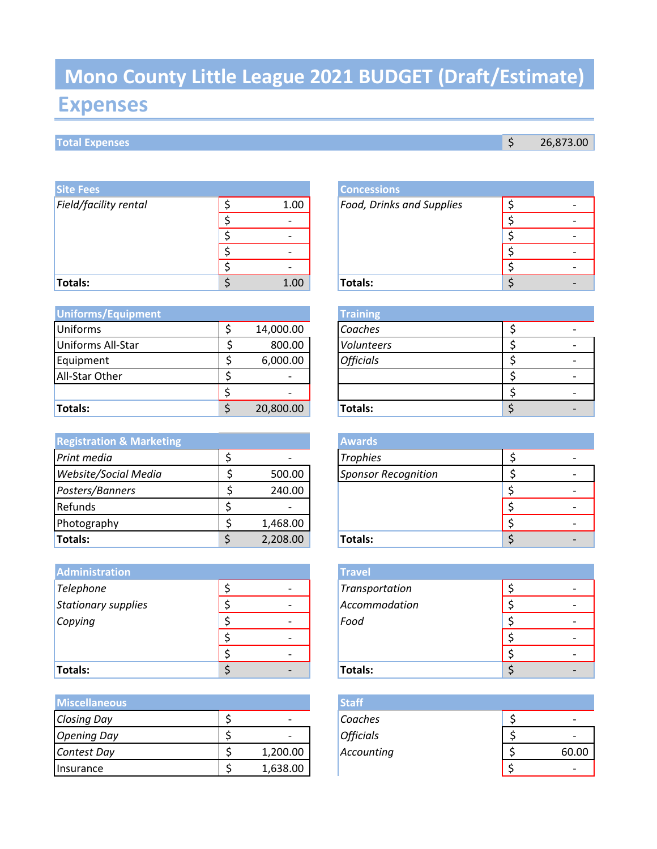# **Expenses Mono County Little League 2021 BUDGET (Draft/Estimate)**

## **Total Expenses 3 26,873.00**

| <b>Site Fees</b>      |      | <b>Concessions</b>               |   |
|-----------------------|------|----------------------------------|---|
| Field/facility rental | 1.00 | <b>Food, Drinks and Supplies</b> |   |
|                       |      |                                  | ۰ |
|                       |      |                                  |   |
|                       |      |                                  |   |
|                       |      |                                  | ۰ |
| <b>Totals:</b>        | 1.00 | Totals:                          | - |

| Uniforms/Equipment |           | <b>Training</b>  |  |
|--------------------|-----------|------------------|--|
| <b>Uniforms</b>    | 14,000.00 | Coaches          |  |
| Uniforms All-Star  | 800.00    | Volunteers       |  |
| Equipment          | 6,000.00  | <b>Officials</b> |  |
| All-Star Other     |           |                  |  |
|                    |           |                  |  |
| Totals:            | 20,800.00 | Totals:          |  |

| <b>Registration &amp; Marketing</b> |          | <b>Awards</b>              |  |
|-------------------------------------|----------|----------------------------|--|
| Print media                         |          | <b>Trophies</b>            |  |
| Website/Social Media                | 500.00   | <b>Sponsor Recognition</b> |  |
| Posters/Banners                     | 240.00   |                            |  |
| Refunds                             |          |                            |  |
| Photography                         | 1,468.00 |                            |  |
| Totals:                             | 2,208.00 | Totals:                    |  |

| <b>Administration</b> |  | <b>Travel</b>  |   |
|-----------------------|--|----------------|---|
| Telephone             |  | Transportation |   |
| Stationary supplies   |  | Accommodation  | ۰ |
| Copying               |  | Food           |   |
|                       |  |                | ٠ |
|                       |  |                | ٠ |
| <b>Totals:</b>        |  | Totals:        |   |

| <b>Miscellaneous</b> | <b>Staff</b> |                  |  |  |       |
|----------------------|--------------|------------------|--|--|-------|
| <b>Closing Day</b>   |              | Coaches          |  |  |       |
| <b>Opening Day</b>   |              | <b>Officials</b> |  |  |       |
| Contest Day          | 1,200.00     | Accounting       |  |  | 60.00 |
| Insurance            | 1,638.00     |                  |  |  |       |

|   |      | <b>Concessions</b>               |  |
|---|------|----------------------------------|--|
| Ć | 1.00 | <b>Food, Drinks and Supplies</b> |  |
| c |      |                                  |  |
| ċ |      |                                  |  |
| c |      |                                  |  |
| r |      |                                  |  |
|   | 1.00 | <b>Totals:</b>                   |  |

|    |           | <b>Training</b>  |  |  |
|----|-----------|------------------|--|--|
| \$ | 14,000.00 | Coaches          |  |  |
|    | 800.00    | Volunteers       |  |  |
| \$ | 6,000.00  | <b>Officials</b> |  |  |
| \$ |           |                  |  |  |
| \$ |           |                  |  |  |
| Ś. | 20,800.00 | Totals:          |  |  |

| <b>Awards</b>              |  |
|----------------------------|--|
| <b>Trophies</b>            |  |
| <b>Sponsor Recognition</b> |  |
|                            |  |
|                            |  |
|                            |  |
| Totals:                    |  |

|    | <b>Travel</b>  |  |
|----|----------------|--|
| \$ | Transportation |  |
| Ś  | Accommodation  |  |
| ċ  | Food           |  |
| ¢  |                |  |
| ć  |                |  |
| ረ  | Totals:        |  |

| <b>Staff</b>     |       |
|------------------|-------|
| Coaches          |       |
| <b>Officials</b> |       |
| Accounting       | 60.00 |
|                  |       |